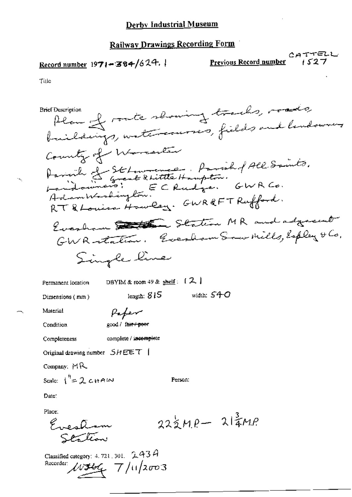### **Railway Drawings Recording Form**

# Record number  $1971 - 384/624.$

Previous Record number

CATTELL  $1527$ 

Title

Plan of route showing tracks, roads, **Brief Description** buildings, watercourses, fields and lendowner County of Warranter Parinh de St Lowrence - Parish of All Saints.<br>Landoumers! EC Rudge. GWR Co.<br>Adambtodington. RT & Louisa Howley. GWR&FT Rufford. Everham Station MR and adjacent GWR-station. Everham Som Mills, Esplay & Co. Single line DBYIM & room 49 & shelf:  $[2]$ Permanent location width:  $540$ length:  $815$ Dimensions (mm) Material Paper good / fair / poor Condition

Completeness

complete / incomplete

Original drawing number  $SHEET$  |

Company:  $MR$ 

Scale:  $1^{1/2}$  2 c HAIN

Person:

 $22\frac{1}{2}MP - 214MP$ 

Date:

Place:

Evestion Southan

Classified category: 4, 721, 301,  $243A$ Recorder:  $\mu \neq 7/11/2003$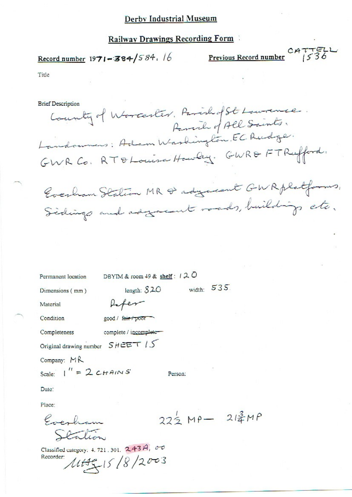### **Railway Drawings Recording Form**

# Record number  $1971 - 384/584.16$

Previous Record number  $CATTELL$ 

Title

**Brief Description** 

County of Worcester, Parishof St Lowrence. Parcil of All Saints. Landoumers: Adam Washington, EC Rudge. GWR Co. RT & Louisa Howley. GWR& FT Rufford. Everham Station MR & adgarent GWRplatforms, Sidings and adjacent roads, buildings etc.

| Permanent location      | DBYIM & room 49 & shelf : $120$   |         |               |                                     |
|-------------------------|-----------------------------------|---------|---------------|-------------------------------------|
| Dimensions (mm)         | length: $820$                     |         | 535<br>width: |                                     |
| Material                |                                   |         |               |                                     |
| Condition               | good / fair / poor                |         |               |                                     |
| Completeness            | complete / incomplete             |         |               |                                     |
|                         | Original drawing number $SHEETIS$ |         |               |                                     |
| Company: MR             |                                   |         |               |                                     |
| Scale: $1'' = 2c$ HAINS |                                   | Person: |               |                                     |
| Date:                   |                                   |         |               |                                     |
| Place:                  |                                   |         |               |                                     |
|                         |                                   |         |               | $22\frac{1}{2}MP - 21\frac{2}{3}MP$ |
|                         |                                   |         |               |                                     |

Classified category: 4.721.301. 243A, 00 Recorder:  $145/8/2003$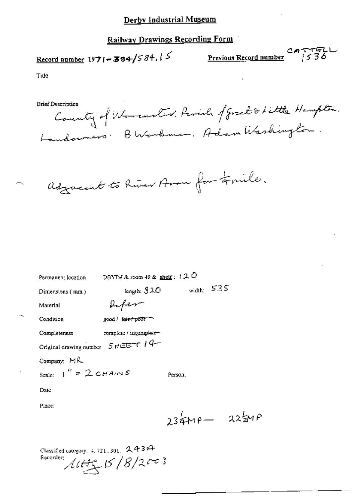## **Railway Drawings Recording Form**

# Record number 1971-384/584.15

CATTELL<br>Previous Record number 1536

Tide

**Brief Description** 

County of Worcester. Parish of Great & Little Hampton. BWorkman, Adam Washington. Laindoumers.

adjournt to River Avon for timile.

| Permanent location                | DBYIM & room 49 & shelf: $120$          |                 |  |
|-----------------------------------|-----------------------------------------|-----------------|--|
| Dimensions (mm)                   | length: $320$                           | width: $535$    |  |
| Material                          | Refer                                   |                 |  |
| Condition                         | good / fair-r poor                      |                 |  |
| Completeness                      | complete / incomplete-                  |                 |  |
|                                   | Original drawing number $SHEETI$   $4-$ |                 |  |
| Company: MR                       |                                         |                 |  |
| Scale: $1'' = 2 \text{C}{H}$ AINS |                                         | Person:         |  |
| Date :                            |                                         |                 |  |
| Place:                            |                                         |                 |  |
|                                   |                                         | $234MP - 225MP$ |  |
|                                   |                                         |                 |  |

| Classified category: $4.721,301$ , $2.43A$ |  |
|--------------------------------------------|--|
| Recorder:<br>1445.15/8/2003                |  |
|                                            |  |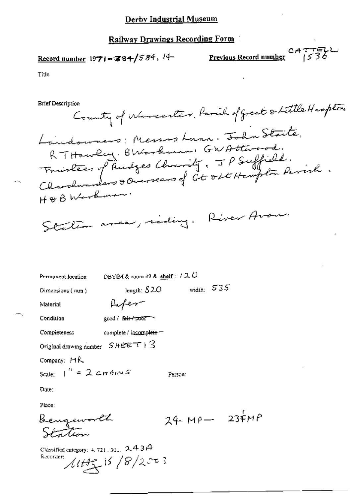Record number 1971-384/584, 14

 $P$  CATTELL Previous Record number  $69536$ 

Title

**Brief Description** 

County of Worcester, Parish of great & Little Hampton Landowners: Messos Lunn. John Staite. RTHawley. BWarkman: GWAtterad. France of Rudges Charity, JP Suffield. H & B Workman. Station aver, riding. River Avour.

| Permanent location                                     | DBYIM & room $49$ & shelf: $120$ |         |                  |
|--------------------------------------------------------|----------------------------------|---------|------------------|
| Dimensions $(mn)$                                      | length: $$20$                    |         | width: $535$     |
| Material                                               | Hoter-                           |         |                  |
| Condition                                              | good / f <del>air / poof</del>   |         |                  |
| Completeness                                           | complete / incomplete-           |         |                  |
| Original drawing number $SHEET + 3$                    |                                  |         |                  |
| Company: MR                                            |                                  |         |                  |
| Scale: $\int_{0}^{R}$ = 2 c H AIN S                    |                                  | Person: |                  |
| Date:                                                  |                                  |         |                  |
| Place:                                                 |                                  |         |                  |
| Bengeworth                                             |                                  |         | $24\mu - 234\mu$ |
| Classified category: 4, 721, 301, $2.43A$<br>Recorder: | $11.145$ 15/8/2003               |         |                  |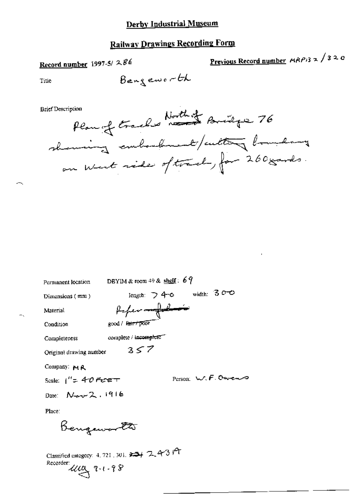## **Railway Drawings Recording Form**

Bengeworth

# Record number 1997-5/286

<u>Previous Record number</u>  $AAP/3 \ge \sqrt{320}$ 

Title

**Brief Description** 



DBYIM & room 49 & shelf:  $67$ Permanent location length:  $\triangleright$  4-0 width:  $300$ Dimensions (mm) Paper - fol-Material good / fair / poor Condition complete / incomplete" Completeness  $3 < 7$ Original drawing number Company:  $M$   $R$ Person: W.F. Owens Scale:  $1'' = 40$  Ferger Date: Nev 2, 1916 Place: Bengawo <del>la</del>

Classified category: 4, 721, 301, 3 4 7, 4 3 Recorder: ULLY 9-1-98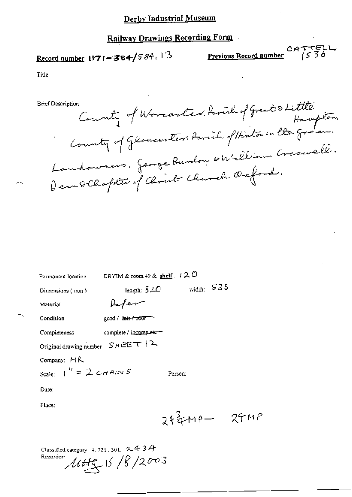# **Railway Drawings Recording Form**

# Record number 1971-384/584.13

 $P$ revious Record number  $1536$ 

Title

**Brief Description** 

County of Worcester, Parish of Great & Little Haupton.<br>County of Gloucester, Parish of Hinton on the Gream. Landowners: George Burdon & William Creswell.

| Permanent location                              | DBYIM & room $49$ & shelf : $120$ |              |            |
|-------------------------------------------------|-----------------------------------|--------------|------------|
| Dimensions (mm)                                 | length: $52C$                     | width: $535$ |            |
| Material                                        | Lifer                             |              |            |
| Condition                                       | good / Bair / poor                |              |            |
| Completeness                                    | complete / incomplete-            |              |            |
| Original drawing number $S H \triangle E T$   2 |                                   |              |            |
| Company: MR                                     |                                   |              |            |
| Scale: $\int_0^{t_1} = 2 \text{ cm} A/\sqrt{s}$ |                                   | Person:      |            |
| Date:                                           |                                   |              |            |
| Place:                                          |                                   |              |            |
|                                                 |                                   |              | $243 + 12$ |
|                                                 |                                   |              |            |

Classified category: 4, 721, 301,  $2.43A$  $1449/16/2003$ Recorder: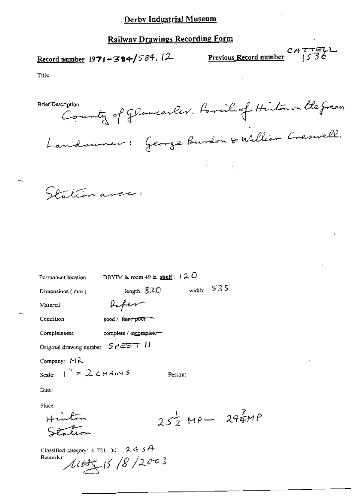Record number 1971-384/584. 2

 $\frac{1}{2}$  CATTELL<br>Previous Record number 1536

Title

county of Gloucester. Parcil of Hinton on the green, **Brief Description** Landouver: George Burdon & William Creswell.

Station areas

| Permanent location                            | DBYIM & room $+9$ & shelf: $+2$ O |         |              |                                       |
|-----------------------------------------------|-----------------------------------|---------|--------------|---------------------------------------|
| Dimensions (mm)                               | length: $320$                     |         | width: $535$ |                                       |
| Material                                      | the fer                           |         |              |                                       |
| Condition                                     | good / fair / poor                |         |              |                                       |
| Completeness                                  | complete / incomplete-            |         |              |                                       |
| Original drawing number $S$ $H \cong E$ T $H$ |                                   |         |              |                                       |
| Company: $M\lambda$                           |                                   |         |              |                                       |
| Scale: $1'' = 2$ CHAINS                       |                                   | Person: |              |                                       |
| Date:                                         |                                   |         |              |                                       |
| Place:                                        |                                   |         |              |                                       |
|                                               |                                   |         |              | $25\frac{1}{2}$ MP- $29\frac{3}{4}MP$ |
|                                               |                                   |         |              |                                       |
|                                               |                                   |         |              |                                       |

Classified category:  $4, 721, 301, 2, 4, 3A$  $1445/8/2003$ Recorder<sup>-</sup>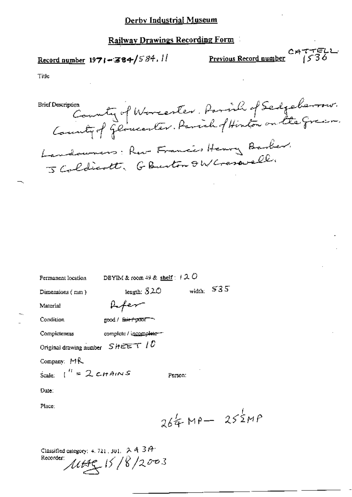$Record number 1971 = 384/584.$ </u>

 $CATTELL$ **Previous Record number** 

Title

County of Worcester. Parish of Sedgeberson.<br>County of Gloucester. Parish of Hinton on the Gran. **Brief Description** Landowners: Rev. Francis Henry Barber. J Coldicott, G Buston OW Generally

| Permanent location                | DBYIM & room 49 & shelf: $120$ |         |                    |
|-----------------------------------|--------------------------------|---------|--------------------|
| Dimensions (mm)                   | length: $520$                  |         | width: $535$       |
| Material                          | <b>Lifer</b>                   |         |                    |
| Condition                         | good / East poor               |         |                    |
| Completeness                      | complete / incomplete =        |         |                    |
| Original drawing number $SHEETID$ |                                |         |                    |
| Company: $MR$                     |                                |         |                    |
| Scale: $I^H = 2cHAMS$             |                                | Person: |                    |
| Dute:                             |                                |         |                    |
| Place:                            |                                |         |                    |
|                                   |                                |         | $264$ MP- $252$ MP |

Classified category: 4, 721, 301,  $\triangleright$  4, 3 $\theta^{\downarrow}$ Recorder:  $1445/8/2003$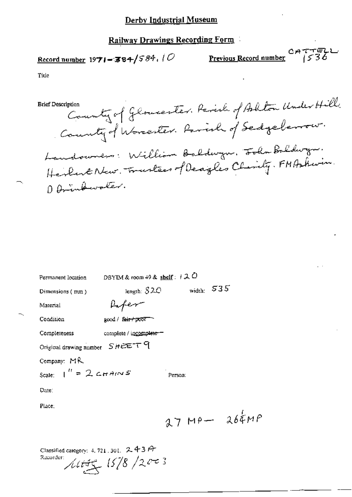## **Railway Drawings Recording Form**

# Record number  $1971 - 384 / 584$ , (O

**Previous Record number**  $2777722$ 

Title

County of Gloucester. Parish of Ashton Under Hill. **Brief Description** County of Worcester. Parish of Sedgeberrow. Landowners: William Baldwyn, Folin Baldwyn. Herbert New Trustees of Deagles Chirily. FMAskwin. O Drinkwater.

| Permanent location                                        | DBYIM & room $+9$ & shelf: $+2$ O |         |              |                  |
|-----------------------------------------------------------|-----------------------------------|---------|--------------|------------------|
| Dimensions (mm)                                           | length: $S2C$                     |         | width: $535$ |                  |
| Material                                                  |                                   |         |              |                  |
| Condition                                                 | good / fair / poor                |         |              |                  |
| Completeness                                              | complete / incomplete-            |         |              |                  |
| Original drawing number SHEET 9                           |                                   |         |              |                  |
| Company: MR                                               |                                   |         |              |                  |
| Scale: $I'' = 2 \text{ cm}$ $A/N$ $S$                     |                                   | Регѕол: |              |                  |
| Dute:                                                     |                                   |         |              |                  |
| Place:                                                    |                                   |         |              |                  |
|                                                           |                                   |         |              | $27 MP - 264 MP$ |
| Classified category: $4, 721, 301, 2, 43.47$<br>Recorder: | $\mu$ tty $15/8/2003$             |         |              |                  |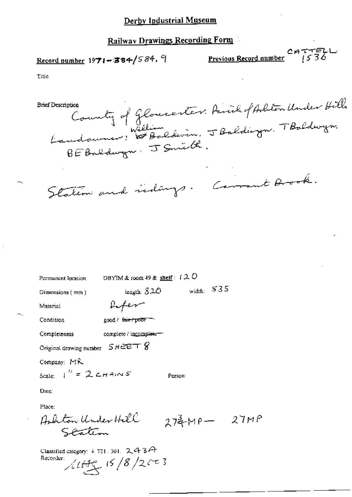Record number  $1971 - 384/584.9$ 

CATTELL<br>Previous Record number 1536

Title

County of Gloucenter. Amil of Arbton Under Hills<br>Landoumer: William Colevin, J Baldings. T Boldwyn.<br>BE Baldwyn. J Smith. **Brief Description** Station and indings. Carrent Brook.

| Permanent location                                       | DBYIM & room 49 & shelf: $120$ |                |              |  |
|----------------------------------------------------------|--------------------------------|----------------|--------------|--|
| Dimensions (mm)                                          | length: $$2O$                  |                | width: $535$ |  |
| Material                                                 | Lifer                          |                |              |  |
| Condition                                                | good / fair-/poor              |                |              |  |
| Completeness                                             | complete / incomplete=         |                |              |  |
| Original drawing number $S$ HEET $\frac{1}{2}$           |                                |                |              |  |
| Company: MR                                              |                                |                |              |  |
| Scale: $\int'' = 2 \text{C} H A/N S$                     |                                | Person:        |              |  |
| Date:                                                    |                                |                |              |  |
| Place:                                                   |                                |                |              |  |
| Ashton Under Hill                                        |                                | $274MP - 27MP$ |              |  |
| Classified category: $4.721.301.$ 2.43 $\leftrightarrow$ |                                |                |              |  |

Recorder:  $11/8/2003$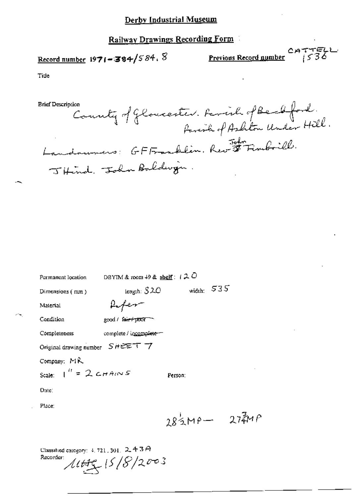## Railway Drawings Recording Form

# Record number 1971-384/584,  $\%$

CATTELL<br><u>Previous Record number</u> 1536

Zмр

Tide

County of Gloucester. Family of Beachford.<br>Family of American forlow Under Hill. **Brief Description** Landouners: GFFranklin, Rev<sup>504</sup> Finoboill. Jitind. John Baldwin.

| Permanent location                                 | DBYIM & room $49$ & shelf: $120$ |              |              |  |
|----------------------------------------------------|----------------------------------|--------------|--------------|--|
| Dimensions (mm)                                    | length: $S2C$                    |              | width: $535$ |  |
| Material                                           | $\mu$ <i>fer</i>                 |              |              |  |
| Condition                                          | good / fair+poor                 |              |              |  |
| Completeness                                       | complete / incomplete =          |              |              |  |
| Original drawing number SHEET 7                    |                                  |              |              |  |
| Company: MR                                        |                                  |              |              |  |
| Scale: $\int_0^{t} f(z) dz = 2 \zeta + A/\sqrt{S}$ |                                  | Person:      |              |  |
| Date:                                              |                                  |              |              |  |
| Place:                                             |                                  |              |              |  |
|                                                    |                                  | $283MP - 27$ |              |  |
|                                                    |                                  |              |              |  |

| Classified category: $4,721$ , $301$ , $2,4$ $3$ $\varTheta$ . |
|----------------------------------------------------------------|
| Recorder: I                                                    |
| 1445/5/8/2003                                                  |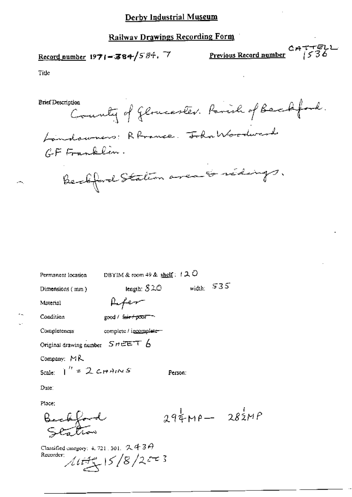Record number 1971-384/584. 7

CATTELL<br><u>Previous Record number</u> 1536

Title

**Brief Description** County of Gloucester. Parish of Backford. Loindowners: Rhrance. Tohn Woodward GF Franklin. Beckford Station area & rédings.

| Permanent location                                           | DBYIM & room 49 & shelf: $120$ |         |                 |
|--------------------------------------------------------------|--------------------------------|---------|-----------------|
| Dimensions $(mn)$                                            | length: $$20$                  |         | width: $535$    |
| Material                                                     |                                |         |                 |
| Condition                                                    | good / f <del>air/p</del> oor  |         |                 |
| Completeness                                                 | complete / incomplete-         |         |                 |
| Original drawing number $S$ $H \to \pm \pm \mp \mp \sqrt{2}$ |                                |         |                 |
| Company: MR                                                  |                                |         |                 |
| Scale: $T'' = 2 \text{ cm}$ AINS                             |                                | Person: |                 |
| Dute:                                                        |                                |         |                 |
| Place:                                                       |                                |         |                 |
|                                                              |                                |         | $294MP - 282MP$ |
|                                                              |                                |         |                 |

Classified category: 4, 721, 301,  $243A$ Recorder;  $1071/8/253$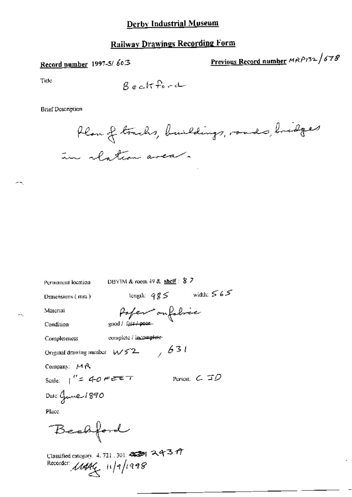### Railway Drawings Recording Form

# Record number 1997-5/603

Previous Record number MRP132/678

Tide

$$
\beta \; e \; c \; H \; \stackrel{\textstyle \sf P}{\textstyle \sf -} \; c \; \stackrel{\textstyle \sf -}{} \; c \; \stackrel{\textstyle \sf -}{} \; c
$$

**Brief Description** 

Permanent location

Plan of trachs, buildings, roads, hidges in rlation area.

length:  $qg5$  width:  $565$ Dimensions (mm) Paper ou fabric Material good / fair / poor Condition complete / incomplete-Completeness Original drawing number  $w52$ , 631 Company:  $M\beta$ Person:  $C$   $\mathcal{ID}$ Scale:  $1'' = 40$  FEET Date: Gune 1890 Place. Bechford

DBYIM & room  $49$  & shelf:  $8$  7

Classified category. 4, 721, 301.  $\overline{\text{mod}}$  2437 Recorder: 11444 11/9/1998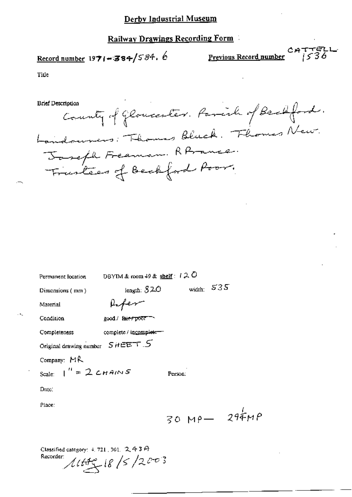# Railway Drawings Recording Form

CATTELL<br>Record number 1971-384/584. 6 Previous Record number 1971-384/584. 6

 $\sim$   $-$ 

Title

**Brief Description** 

| Brief Description                                    |
|------------------------------------------------------|
| County of Gloucester. Parish of Beckford.            |
| Landouners: Thomas Bluck. Thomas New.                |
|                                                      |
| Joseph Freeman RAmmer.<br>Frustees of Beckford Poor. |

| Permanent location                             | DBYIM & room $49$ & shelf: $120$ |         |              |                     |
|------------------------------------------------|----------------------------------|---------|--------------|---------------------|
| Dimensions $(mn)$                              | length: $520$                    |         | width: $535$ |                     |
| Material                                       | lifer                            |         |              |                     |
| Condition                                      | good / fair rpoor                |         |              |                     |
| Completeness                                   | complete / incomplete-           |         |              |                     |
| Original drawing number $SHEETS$ .             |                                  |         |              |                     |
| Company: MR                                    |                                  |         |              |                     |
| Scale: $1'' = 2c_{H}A/NS$                      |                                  | Person: |              |                     |
| Date:                                          |                                  |         |              |                     |
| Place:                                         |                                  |         |              |                     |
|                                                |                                  |         |              | $30 \, Mpc - 294MP$ |
|                                                |                                  |         |              |                     |
| Classified category: $4, 721, 301, 2, 4, 3, 4$ |                                  |         |              |                     |

Recorder  $1115/2003$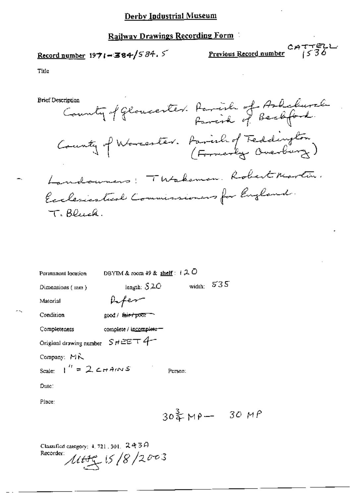### Railway Drawings Recording Form

# Record number  $1971 - 384/584.5$

**Previous Record number**  $\frac{CATTELL}{1536}$ 

мP

Title

**Brief Description** 

County of Gloucester. Parish of Ashchurch County of Warcester. Parish of Teddington) Landourners: Thtakeman. Robert Martin. Exclesionted Commissioners for England. T. Bluck.

| Permanent location                                      | DBYTM & room 49 & shelf: $120$ |                          |     |
|---------------------------------------------------------|--------------------------------|--------------------------|-----|
| Dimensions (mm)                                         | length: $S2C$                  | width:                   | 535 |
| Material                                                | <b>Hiper</b>                   |                          |     |
| Condition                                               | good / f <del>air / poor</del> |                          |     |
| Completeness                                            | complete / incomplete -        |                          |     |
| Original drawing number $S$ $H \in \mathbb{Z}$ $\top$ 4 |                                |                          |     |
| Company: MR                                             |                                |                          |     |
| Scale: $\int_0^{t} = 2 \cos A/N S$                      |                                | Person:                  |     |
| Date:                                                   |                                |                          |     |
| Place:                                                  |                                |                          |     |
|                                                         |                                | $30\frac{3}{4}M$ P $-30$ |     |
|                                                         |                                |                          |     |

Classified category:  $4, 721, 301, 2439$  $1449/15/8/2003$ Recorder: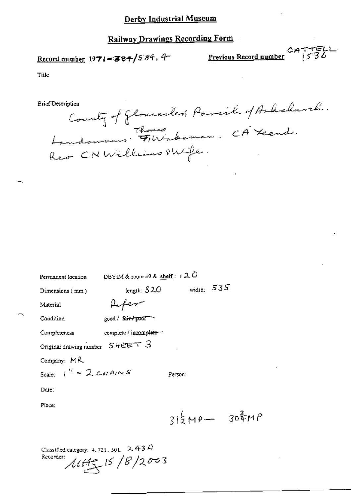Record number  $1971 - 384/584$ , 4

CATTELL<br>Previous Record number (536

Title

**Brief Description** 

County of Glomeonters Parish of Arbehurch.<br>Londowners Flintakeman. CA Yeend.<br>Rev CNWilliams PWfe.

| Permanent location                   | DBYIM & room 49 & shelf: $120$ |                 |              |  |
|--------------------------------------|--------------------------------|-----------------|--------------|--|
| Dimensions (mm)                      | length: $S2C$                  |                 | width: $535$ |  |
| Material                             | Lifer                          |                 |              |  |
| Condition                            | good / fair / poor             |                 |              |  |
| Completeness                         | complete / incomplete-         |                 |              |  |
| Original drawing number $S$ $HEET$ 3 |                                |                 |              |  |
| Company: $MR$                        |                                |                 |              |  |
| Scale: $\int_0^R = 2 \text{ cm} A/N$ |                                | Person:         |              |  |
| Date:                                |                                |                 |              |  |
| Place:                               |                                |                 |              |  |
|                                      |                                | $315MP - 307MP$ |              |  |
|                                      |                                |                 |              |  |

Classified category: 4, 721, 301,  $-2$ , 4-3  $A$  $14.45$  15/8/2003 Recorder: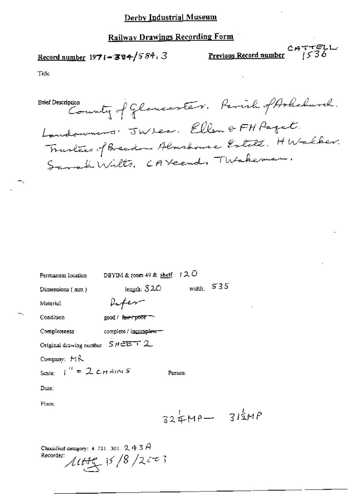# Railway Drawings Recording Form

Record number  $1971 - 384 / 584$ , 3

CATTELL<br>Previous Record number  $1536$ 

Tide

Brief Description County of Gloucaster. Parish of Arkehurch. Landowners TWLes. Ellen & FH Paget. Tractées of Breedom Almsboure Estate. HWalber.<br>Sarah Wilts, CAYcend, TWakeman.

| Permanent location                                    | DBYIM & room 49 & shelf: $120$ |                 |  |
|-------------------------------------------------------|--------------------------------|-----------------|--|
| Dimensions (mm)                                       | length: $320$                  | width: $535$    |  |
| Material                                              | <i>Vifer</i>                   |                 |  |
| Condition                                             | good / fair / poor             |                 |  |
| Completeness                                          | complete / incomplete          |                 |  |
| Original drawing number $SHEET$ 2                     |                                |                 |  |
| Company: MR                                           |                                |                 |  |
| Scale: $\int_{0}^{H} = 2 \text{ cm} A/N S$            |                                | Person:         |  |
| Date:                                                 |                                |                 |  |
| Place:                                                |                                |                 |  |
|                                                       |                                | $324MP - 314MP$ |  |
| Classified category: 4, 721, 301, $2.43$<br>Recorder: | 1449/8/2003                    |                 |  |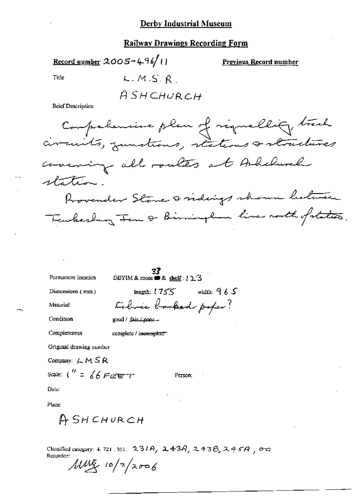#### Railway Drawings Recording Form

Record number  $2005 - 496/11$ 

Previous Record number

Title

 $L.M.S.R$ ASHCHURCH

**Brief Description** 

Comprehensive plan of signallity track comming all routes at Arhelinel station. Provender Stone & vidings shown between Teachesbury Jan & Birminglan line rooth of states.

| Permanent location              | DBYIM & room ## & shelf: { 2.3 |              |
|---------------------------------|--------------------------------|--------------|
| Dimensions (mm)                 | length: $1755$                 | width: $965$ |
| Material                        | Februar backed poper?          |              |
| Condition                       | good / fair / poor             |              |
| Completeness                    | complete / incomplete          |              |
| Original drawing number         |                                |              |
| Company: $LMSR$                 |                                |              |
| Scale: $\binom{n}{i}$ = 66 FEET | Person:                        |              |
| Dа(с)                           |                                |              |
| Place:                          |                                |              |
|                                 |                                |              |

Classified category: 4, 721, 301, 231A, 243A, 243B, 245A, 00 Recorder:

 $\mu w$  10/3/2006

ASHCHURCH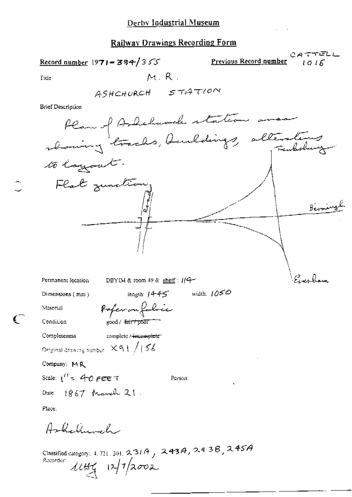Record number 1971 - 384/355

Previous Record number

CATTELL  $1015$ 

Title

 $M, R$ .

**Brief Description** 



Dimensions (mm)

Condition

Completeness

Material

Pofer on folice good / fair / poor

complete / incomplete

Original drawing number  $891/156$ 

Company: MR

Scale:  $i^{it} = 40$  pee T

Person:

Place:

Ashelmach

Date:  $1867 \text{ Mewel } 21$ .

Classified category: 4, 721, 304, 2, 31 A  $_1$  2 43 A  $_2$  2 4 3 B  $_2$  2. 45 A Recorder:  $44.44$   $12/7$   $2002$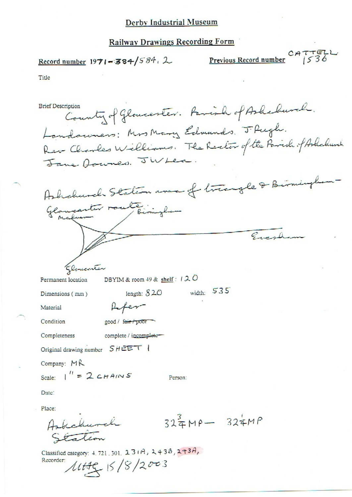#### **Railway Drawings Recording Form**

# Record number  $1971 - 384/584$ , 2

Previous Record number CATTELL

Title

County of Gloucester. Faminh of Ashebusch. **Brief Description** Landauners: Mrs Mary Edmunds. J. Pugh. Rev-Charles Williams. The Rector of the Parish of Ashaburch Jane Avenes. JWLea. Ashchurch Staten was of triangle & Birmingle Glaucenter route biningham  $\sqrt{a^2-4}$ Glomeenter DBYIM & room 49 & shelf :  $120$ Permanent location width:  $535$ length:  $820$ Dimensions (mm) **A**fer Material Condition good / fair / poor Completeness complete / incomplete-Original drawing number SHEET | Company: MR Scale:  $1'' = 2c_{HAI}$ Person: Date: Place:  $324MP - 324MP$ Askalurch tation

Classified category: 4, 721, 301, 23(A, 2438, 243A,  $1149518/2003$ Recorder: